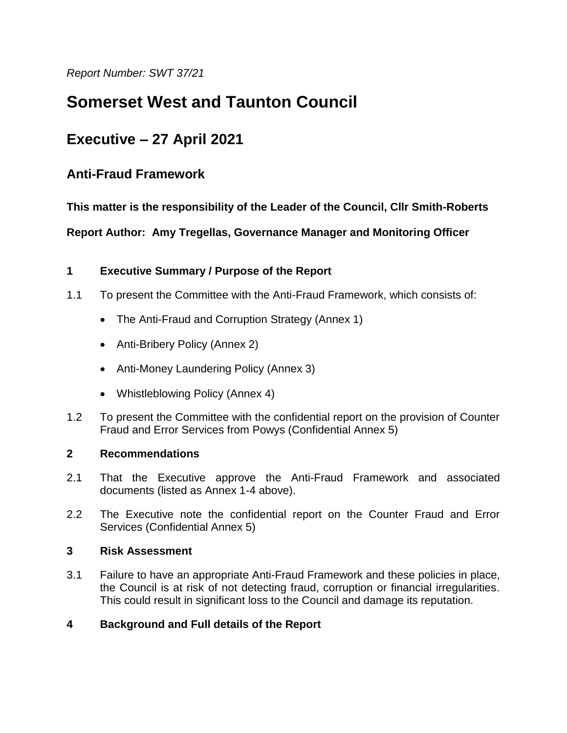*Report Number: SWT 37/21*

# **Somerset West and Taunton Council**

## **Executive – 27 April 2021**

## **Anti-Fraud Framework**

**This matter is the responsibility of the Leader of the Council, Cllr Smith-Roberts**

**Report Author: Amy Tregellas, Governance Manager and Monitoring Officer**

## **1 Executive Summary / Purpose of the Report**

- 1.1 To present the Committee with the Anti-Fraud Framework, which consists of:
	- The Anti-Fraud and Corruption Strategy (Annex 1)
	- Anti-Bribery Policy (Annex 2)
	- Anti-Money Laundering Policy (Annex 3)
	- Whistleblowing Policy (Annex 4)
- 1.2 To present the Committee with the confidential report on the provision of Counter Fraud and Error Services from Powys (Confidential Annex 5)

## **2 Recommendations**

- 2.1 That the Executive approve the Anti-Fraud Framework and associated documents (listed as Annex 1-4 above).
- 2.2 The Executive note the confidential report on the Counter Fraud and Error Services (Confidential Annex 5)

#### **3 Risk Assessment**

3.1 Failure to have an appropriate Anti-Fraud Framework and these policies in place, the Council is at risk of not detecting fraud, corruption or financial irregularities. This could result in significant loss to the Council and damage its reputation.

## **4 Background and Full details of the Report**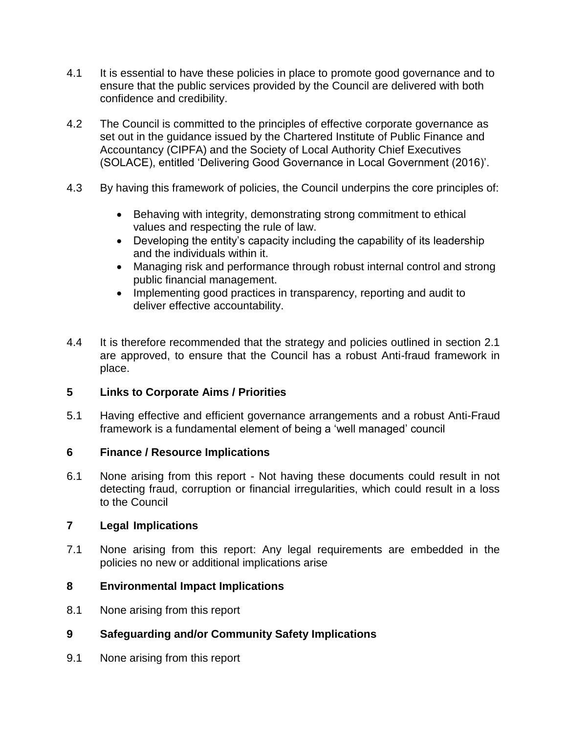- 4.1 It is essential to have these policies in place to promote good governance and to ensure that the public services provided by the Council are delivered with both confidence and credibility.
- 4.2 The Council is committed to the principles of effective corporate governance as set out in the guidance issued by the Chartered Institute of Public Finance and Accountancy (CIPFA) and the Society of Local Authority Chief Executives (SOLACE), entitled 'Delivering Good Governance in Local Government (2016)'.
- 4.3 By having this framework of policies, the Council underpins the core principles of:
	- Behaving with integrity, demonstrating strong commitment to ethical values and respecting the rule of law.
	- Developing the entity's capacity including the capability of its leadership and the individuals within it.
	- Managing risk and performance through robust internal control and strong public financial management.
	- Implementing good practices in transparency, reporting and audit to deliver effective accountability.
- 4.4 It is therefore recommended that the strategy and policies outlined in section 2.1 are approved, to ensure that the Council has a robust Anti-fraud framework in place.

## **5 Links to Corporate Aims / Priorities**

5.1 Having effective and efficient governance arrangements and a robust Anti-Fraud framework is a fundamental element of being a 'well managed' council

#### **6 Finance / Resource Implications**

6.1 None arising from this report - Not having these documents could result in not detecting fraud, corruption or financial irregularities, which could result in a loss to the Council

#### **7 Legal Implications**

7.1 None arising from this report: Any legal requirements are embedded in the policies no new or additional implications arise

#### **8 Environmental Impact Implications**

8.1 None arising from this report

## **9 Safeguarding and/or Community Safety Implications**

9.1 None arising from this report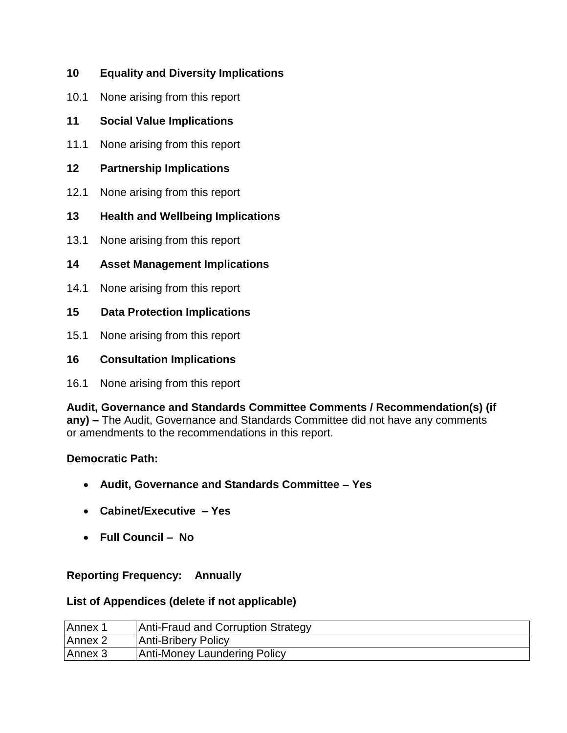## **10 Equality and Diversity Implications**

- 10.1 None arising from this report
- **11 Social Value Implications**
- 11.1 None arising from this report
- **12 Partnership Implications**
- 12.1 None arising from this report
- **13 Health and Wellbeing Implications**
- 13.1 None arising from this report
- **14 Asset Management Implications**
- 14.1 None arising from this report
- **15 Data Protection Implications**
- 15.1 None arising from this report

## **16 Consultation Implications**

16.1 None arising from this report

**Audit, Governance and Standards Committee Comments / Recommendation(s) (if any) –** The Audit, Governance and Standards Committee did not have any comments or amendments to the recommendations in this report.

## **Democratic Path:**

- **Audit, Governance and Standards Committee – Yes**
- **Cabinet/Executive – Yes**
- **Full Council No**

## **Reporting Frequency: Annually**

## **List of Appendices (delete if not applicable)**

| Annex 1 | Anti-Fraud and Corruption Strategy |
|---------|------------------------------------|
| Annex 2 | Anti-Bribery Policy                |
| Annex 3 | Anti-Money Laundering Policy       |